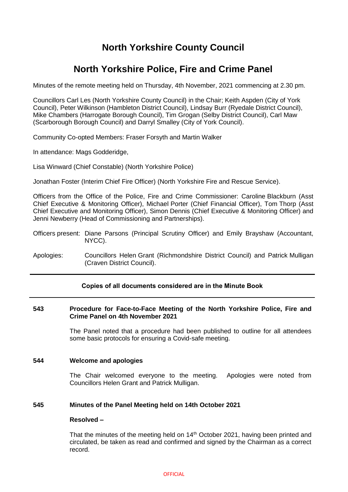# **North Yorkshire County Council**

# **North Yorkshire Police, Fire and Crime Panel**

Minutes of the remote meeting held on Thursday, 4th November, 2021 commencing at 2.30 pm.

Councillors Carl Les (North Yorkshire County Council) in the Chair; Keith Aspden (City of York Council), Peter Wilkinson (Hambleton District Council), Lindsay Burr (Ryedale District Council), Mike Chambers (Harrogate Borough Council), Tim Grogan (Selby District Council), Carl Maw (Scarborough Borough Council) and Darryl Smalley (City of York Council).

Community Co-opted Members: Fraser Forsyth and Martin Walker

In attendance: Mags Godderidge,

Lisa Winward (Chief Constable) (North Yorkshire Police)

Jonathan Foster (Interim Chief Fire Officer) (North Yorkshire Fire and Rescue Service).

Officers from the Office of the Police, Fire and Crime Commissioner: Caroline Blackburn (Asst Chief Executive & Monitoring Officer), Michael Porter (Chief Financial Officer), Tom Thorp (Asst Chief Executive and Monitoring Officer), Simon Dennis (Chief Executive & Monitoring Officer) and Jenni Newberry (Head of Commissioning and Partnerships).

- Officers present: Diane Parsons (Principal Scrutiny Officer) and Emily Brayshaw (Accountant, NYCC).
- Apologies: Councillors Helen Grant (Richmondshire District Council) and Patrick Mulligan (Craven District Council).

# **Copies of all documents considered are in the Minute Book**

## **543 Procedure for Face-to-Face Meeting of the North Yorkshire Police, Fire and Crime Panel on 4th November 2021**

The Panel noted that a procedure had been published to outline for all attendees some basic protocols for ensuring a Covid-safe meeting.

## **544 Welcome and apologies**

The Chair welcomed everyone to the meeting. Apologies were noted from Councillors Helen Grant and Patrick Mulligan.

## **545 Minutes of the Panel Meeting held on 14th October 2021**

## **Resolved –**

That the minutes of the meeting held on  $14<sup>th</sup>$  October 2021, having been printed and circulated, be taken as read and confirmed and signed by the Chairman as a correct record.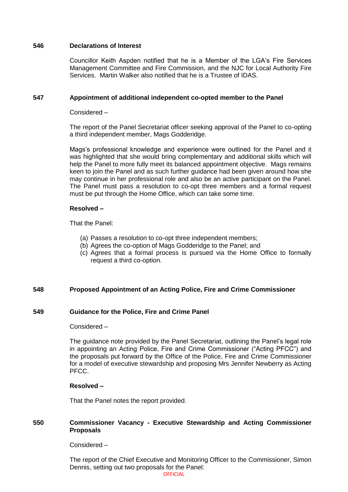# **546 Declarations of Interest**

Councillor Keith Aspden notified that he is a Member of the LGA's Fire Services Management Committee and Fire Commission, and the NJC for Local Authority Fire Services. Martin Walker also notified that he is a Trustee of IDAS.

## **547 Appointment of additional independent co-opted member to the Panel**

## Considered –

The report of the Panel Secretariat officer seeking approval of the Panel to co-opting a third independent member, Mags Godderidge.

Mags's professional knowledge and experience were outlined for the Panel and it was highlighted that she would bring complementary and additional skills which will help the Panel to more fully meet its balanced appointment objective. Mags remains keen to join the Panel and as such further guidance had been given around how she may continue in her professional role and also be an active participant on the Panel. The Panel must pass a resolution to co-opt three members and a formal request must be put through the Home Office, which can take some time.

# **Resolved –**

That the Panel:

- (a) Passes a resolution to co-opt three independent members;
- (b) Agrees the co-option of Mags Godderidge to the Panel; and
- (c) Agrees that a formal process is pursued via the Home Office to formally request a third co-option.

# **548 Proposed Appointment of an Acting Police, Fire and Crime Commissioner**

# **549 Guidance for the Police, Fire and Crime Panel**

## Considered –

The guidance note provided by the Panel Secretariat, outlining the Panel's legal role in appointing an Acting Police, Fire and Crime Commissioner ("Acting PFCC") and the proposals put forward by the Office of the Police, Fire and Crime Commissioner for a model of executive stewardship and proposing Mrs Jennifer Newberry as Acting PFCC.

## **Resolved –**

That the Panel notes the report provided.

# **550 Commissioner Vacancy - Executive Stewardship and Acting Commissioner Proposals**

Considered –

The report of the Chief Executive and Monitoring Officer to the Commissioner, Simon Dennis, setting out two proposals for the Panel: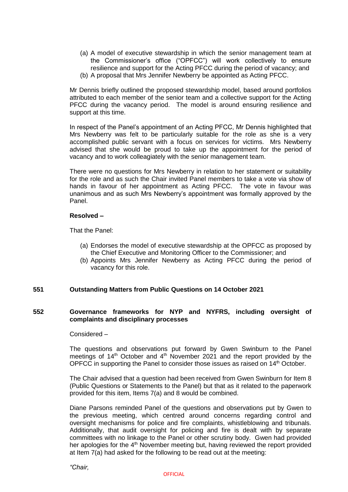- (a) A model of executive stewardship in which the senior management team at the Commissioner's office ("OPFCC") will work collectively to ensure resilience and support for the Acting PFCC during the period of vacancy; and
- (b) A proposal that Mrs Jennifer Newberry be appointed as Acting PFCC.

Mr Dennis briefly outlined the proposed stewardship model, based around portfolios attributed to each member of the senior team and a collective support for the Acting PFCC during the vacancy period. The model is around ensuring resilience and support at this time.

In respect of the Panel's appointment of an Acting PFCC, Mr Dennis highlighted that Mrs Newberry was felt to be particularly suitable for the role as she is a very accomplished public servant with a focus on services for victims. Mrs Newberry advised that she would be proud to take up the appointment for the period of vacancy and to work colleagiately with the senior management team.

There were no questions for Mrs Newberry in relation to her statement or suitability for the role and as such the Chair invited Panel members to take a vote via show of hands in favour of her appointment as Acting PFCC. The vote in favour was unanimous and as such Mrs Newberry's appointment was formally approved by the Panel.

# **Resolved –**

That the Panel:

- (a) Endorses the model of executive stewardship at the OPFCC as proposed by the Chief Executive and Monitoring Officer to the Commissioner; and
- (b) Appoints Mrs Jennifer Newberry as Acting PFCC during the period of vacancy for this role.

# **551 Outstanding Matters from Public Questions on 14 October 2021**

# **552 Governance frameworks for NYP and NYFRS, including oversight of complaints and disciplinary processes**

## Considered –

The questions and observations put forward by Gwen Swinburn to the Panel meetings of  $14<sup>th</sup>$  October and  $4<sup>th</sup>$  November 2021 and the report provided by the OPFCC in supporting the Panel to consider those issues as raised on  $14<sup>th</sup>$  October.

The Chair advised that a question had been received from Gwen Swinburn for Item 8 (Public Questions or Statements to the Panel) but that as it related to the paperwork provided for this item, Items 7(a) and 8 would be combined.

Diane Parsons reminded Panel of the questions and observations put by Gwen to the previous meeting, which centred around concerns regarding control and oversight mechanisms for police and fire complaints, whistleblowing and tribunals. Additionally, that audit oversight for policing and fire is dealt with by separate committees with no linkage to the Panel or other scrutiny body. Gwen had provided her apologies for the  $4<sup>th</sup>$  November meeting but, having reviewed the report provided at Item 7(a) had asked for the following to be read out at the meeting: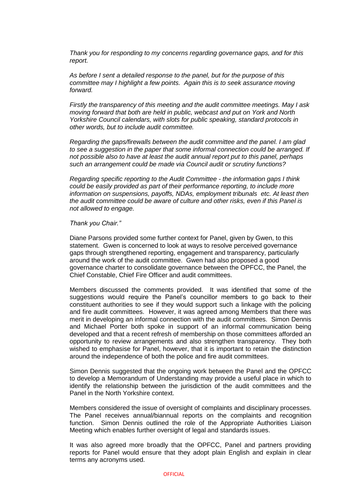*Thank you for responding to my concerns regarding governance gaps, and for this report.*

*As before I sent a detailed response to the panel, but for the purpose of this committee may I highlight a few points. Again this is to seek assurance moving forward.*

*Firstly the transparency of this meeting and the audit committee meetings. May I ask moving forward that both are held in public, webcast and put on York and North Yorkshire Council calendars, with slots for public speaking, standard protocols in other words, but to include audit committee.*

*Regarding the gaps/firewalls between the audit committee and the panel. I am glad to see a suggestion in the paper that some informal connection could be arranged. If not possible also to have at least the audit annual report put to this panel, perhaps such an arrangement could be made via Council audit or scrutiny functions?*

*Regarding specific reporting to the Audit Committee - the information gaps I think could be easily provided as part of their performance reporting, to include more information on suspensions, payoffs, NDAs, employment tribunals etc. At least then the audit committee could be aware of culture and other risks, even if this Panel is not allowed to engage.*

#### *Thank you Chair."*

Diane Parsons provided some further context for Panel, given by Gwen, to this statement. Gwen is concerned to look at ways to resolve perceived governance gaps through strengthened reporting, engagement and transparency, particularly around the work of the audit committee. Gwen had also proposed a good governance charter to consolidate governance between the OPFCC, the Panel, the Chief Constable, Chief Fire Officer and audit committees.

Members discussed the comments provided. It was identified that some of the suggestions would require the Panel's councillor members to go back to their constituent authorities to see if they would support such a linkage with the policing and fire audit committees. However, it was agreed among Members that there was merit in developing an informal connection with the audit committees. Simon Dennis and Michael Porter both spoke in support of an informal communication being developed and that a recent refresh of membership on those committees afforded an opportunity to review arrangements and also strengthen transparency. They both wished to emphasise for Panel, however, that it is important to retain the distinction around the independence of both the police and fire audit committees.

Simon Dennis suggested that the ongoing work between the Panel and the OPFCC to develop a Memorandum of Understanding may provide a useful place in which to identify the relationship between the jurisdiction of the audit committees and the Panel in the North Yorkshire context.

Members considered the issue of oversight of complaints and disciplinary processes. The Panel receives annual/biannual reports on the complaints and recognition function. Simon Dennis outlined the role of the Appropriate Authorities Liaison Meeting which enables further oversight of legal and standards issues.

It was also agreed more broadly that the OPFCC, Panel and partners providing reports for Panel would ensure that they adopt plain English and explain in clear terms any acronyms used.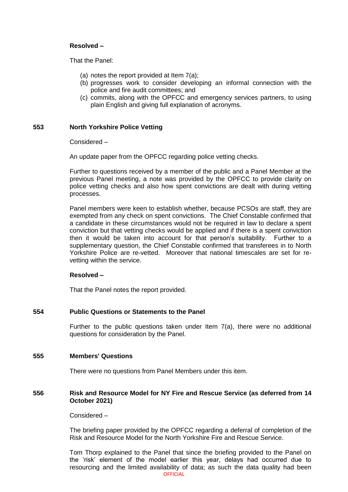# **Resolved –**

That the Panel:

- (a) notes the report provided at Item 7(a);
- (b) progresses work to consider developing an informal connection with the police and fire audit committees; and
- (c) commits, along with the OPFCC and emergency services partners, to using plain English and giving full explanation of acronyms.

# **553 North Yorkshire Police Vetting**

Considered –

An update paper from the OPFCC regarding police vetting checks.

Further to questions received by a member of the public and a Panel Member at the previous Panel meeting, a note was provided by the OPFCC to provide clarity on police vetting checks and also how spent convictions are dealt with during vetting processes.

Panel members were keen to establish whether, because PCSOs are staff, they are exempted from any check on spent convictions. The Chief Constable confirmed that a candidate in these circumstances would not be required in law to declare a spent conviction but that vetting checks would be applied and if there is a spent conviction then it would be taken into account for that person's suitability. Further to a supplementary question, the Chief Constable confirmed that transferees in to North Yorkshire Police are re-vetted. Moreover that national timescales are set for revetting within the service.

## **Resolved –**

That the Panel notes the report provided.

## **554 Public Questions or Statements to the Panel**

Further to the public questions taken under Item 7(a), there were no additional questions for consideration by the Panel.

## **555 Members' Questions**

There were no questions from Panel Members under this item.

## **556 Risk and Resource Model for NY Fire and Rescue Service (as deferred from 14 October 2021)**

Considered –

The briefing paper provided by the OPFCC regarding a deferral of completion of the Risk and Resource Model for the North Yorkshire Fire and Rescue Service.

**OFFICIAL** Tom Thorp explained to the Panel that since the briefing provided to the Panel on the 'risk' element of the model earlier this year, delays had occurred due to resourcing and the limited availability of data; as such the data quality had been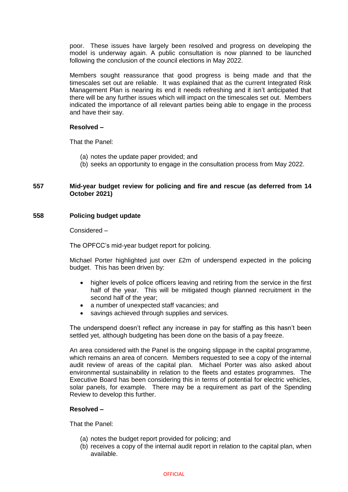poor. These issues have largely been resolved and progress on developing the model is underway again. A public consultation is now planned to be launched following the conclusion of the council elections in May 2022.

Members sought reassurance that good progress is being made and that the timescales set out are reliable. It was explained that as the current Integrated Risk Management Plan is nearing its end it needs refreshing and it isn't anticipated that there will be any further issues which will impact on the timescales set out. Members indicated the importance of all relevant parties being able to engage in the process and have their say.

# **Resolved –**

That the Panel:

- (a) notes the update paper provided; and
- (b) seeks an opportunity to engage in the consultation process from May 2022.

# **557 Mid-year budget review for policing and fire and rescue (as deferred from 14 October 2021)**

# **558 Policing budget update**

Considered –

The OPFCC's mid-year budget report for policing.

Michael Porter highlighted just over £2m of underspend expected in the policing budget. This has been driven by:

- higher levels of police officers leaving and retiring from the service in the first half of the year. This will be mitigated though planned recruitment in the second half of the year;
- a number of unexpected staff vacancies; and
- savings achieved through supplies and services.

The underspend doesn't reflect any increase in pay for staffing as this hasn't been settled yet, although budgeting has been done on the basis of a pay freeze.

An area considered with the Panel is the ongoing slippage in the capital programme, which remains an area of concern. Members requested to see a copy of the internal audit review of areas of the capital plan. Michael Porter was also asked about environmental sustainability in relation to the fleets and estates programmes. The Executive Board has been considering this in terms of potential for electric vehicles, solar panels, for example. There may be a requirement as part of the Spending Review to develop this further.

## **Resolved –**

That the Panel:

- (a) notes the budget report provided for policing; and
- (b) receives a copy of the internal audit report in relation to the capital plan, when available.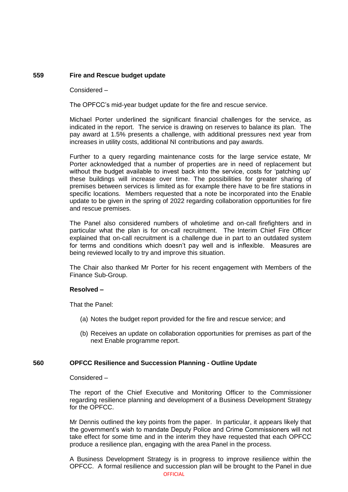# **559 Fire and Rescue budget update**

Considered –

The OPFCC's mid-year budget update for the fire and rescue service.

Michael Porter underlined the significant financial challenges for the service, as indicated in the report. The service is drawing on reserves to balance its plan. The pay award at 1.5% presents a challenge, with additional pressures next year from increases in utility costs, additional NI contributions and pay awards.

Further to a query regarding maintenance costs for the large service estate, Mr Porter acknowledged that a number of properties are in need of replacement but without the budget available to invest back into the service, costs for 'patching up' these buildings will increase over time. The possibilities for greater sharing of premises between services is limited as for example there have to be fire stations in specific locations. Members requested that a note be incorporated into the Enable update to be given in the spring of 2022 regarding collaboration opportunities for fire and rescue premises.

The Panel also considered numbers of wholetime and on-call firefighters and in particular what the plan is for on-call recruitment. The Interim Chief Fire Officer explained that on-call recruitment is a challenge due in part to an outdated system for terms and conditions which doesn't pay well and is inflexible. Measures are being reviewed locally to try and improve this situation.

The Chair also thanked Mr Porter for his recent engagement with Members of the Finance Sub-Group.

## **Resolved –**

That the Panel:

- (a) Notes the budget report provided for the fire and rescue service; and
- (b) Receives an update on collaboration opportunities for premises as part of the next Enable programme report.

# **560 OPFCC Resilience and Succession Planning - Outline Update**

Considered –

The report of the Chief Executive and Monitoring Officer to the Commissioner regarding resilience planning and development of a Business Development Strategy for the OPFCC.

Mr Dennis outlined the key points from the paper. In particular, it appears likely that the government's wish to mandate Deputy Police and Crime Commissioners will not take effect for some time and in the interim they have requested that each OPFCC produce a resilience plan, engaging with the area Panel in the process.

**OFFICIAL** A Business Development Strategy is in progress to improve resilience within the OPFCC. A formal resilience and succession plan will be brought to the Panel in due